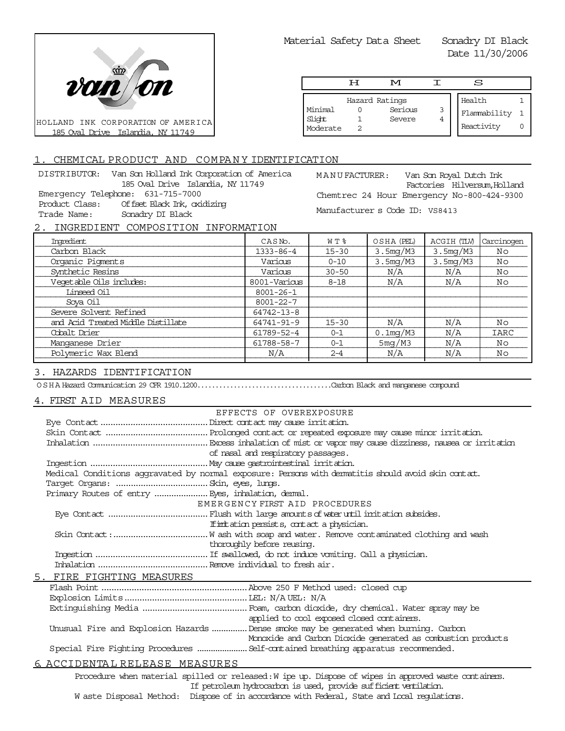

Material Safety Data Sheet Sonadry DI Black

Date 11/30/2006

|                               | ਸ | M                                   |        | S                                    |  |
|-------------------------------|---|-------------------------------------|--------|--------------------------------------|--|
| Minimal<br>Slight<br>Moderate |   | Hazard Ratings<br>Serious<br>Severe | 3<br>4 | Health<br>Flammability<br>Reactivity |  |

# 1. CHEMICAL PRODUCT AND COMPANY IDENTIFICATION

DISTRIBUTOR: Van Son Holland Ink Corporation of America 185 Oval Drive Islandia, NY 11749 Emergency Telephone: 631-715-7000 Product Class: Offset Black Ink, oxidizing Trade Name: Sonadry DI Black

MANUFACTURER: Van Son Royal Dutch Ink Factories Hilversum,Holland Chemtrec 24 Hour Emergency No-800-424-9300 Manufacturer s Code ID: VS8413

# 2. INGREDIENT COMPOSITION INFORMATION

| Imredient                          | CASN <sub>o</sub> . | W T %     | OSHA (PEL)  | ACGIH (TLV) | Carcinogen |
|------------------------------------|---------------------|-----------|-------------|-------------|------------|
| Carbon Black                       | $1333 - 86 - 4$     | $15 - 30$ | 3.5mg/M3    | 3.5mg/M3    | Νo         |
| Organic Pigments                   | Various             | $0 - 10$  | 3.5mg/M3    | 3.5mg/M3    | Νo         |
| Synthetic Resins                   | Various             | $30 - 50$ | N/A         | N/A         | No         |
| Vegetable Oils includes:           | 8001-Various        | $8 - 18$  | N/A         | N/A         | Νo         |
| Linseed Oil                        | $8001 - 26 - 1$     |           |             |             |            |
| Soya Oil                           | 8001-22-7           |           |             |             |            |
| Severe Solvent Refined             | $64742 - 13 - 8$    |           |             |             |            |
| and Acid Treated Middle Distillate | 64741-91-9          | $15 - 30$ | N/A         | N/A         | Νo         |
| Cobalt Drier                       | 61789-52-4          | $0 - 1$   | $0.1$ mg/M3 | N/A         | IARC       |
| Manganese Drier                    | 61788-58-7          | $0 - 1$   | 5mg/M3      | N/A         | Νo         |
| Polymeric Wax Blend                | N/A                 | $2 - 4$   | N/A         | N/A         | Νo         |
|                                    |                     |           |             |             |            |

## 3. HAZARDS IDENTIFICATION

OSHA Hazard Communication 29 CFR 1910.1200.....................................Carbon Black and manganese compound

### 4. FIRST AID MEASURES

| EFFECTS OF OVEREXPOSURE                                                                               |
|-------------------------------------------------------------------------------------------------------|
|                                                                                                       |
|                                                                                                       |
|                                                                                                       |
| of nasal and respiratory passages.                                                                    |
|                                                                                                       |
| Medical Conditions aggravated by normal exposure: Persons with dematitis should avoid skin contat.    |
|                                                                                                       |
| Primary Routes of entry  Eyes, inhalation, demal.                                                     |
| EMERGENCY FIRST AID PROCEDURES                                                                        |
|                                                                                                       |
| If initiation persists, contact a physician.                                                          |
|                                                                                                       |
| thoroughly before reusing.                                                                            |
|                                                                                                       |
|                                                                                                       |
| 5. FIRE FIGHTING MEASURES                                                                             |
|                                                                                                       |
|                                                                                                       |
|                                                                                                       |
| applied to cool exposed closed containers.                                                            |
| Unusual Fire and Explosion Hazards  Dense smoke may be generated when burning. Carbon                 |
| Monoxide and Carbon Dioxide generated as combustion products                                          |
|                                                                                                       |
| 6. ACCIDENTAL RELEASE MEASURES                                                                        |
| Procedure when material spilled or released: W ipe up. Dispose of wipes in approved waste containers. |

If petroleum hydrocarbon is used, provide sufficient ventilation.

W aste Disposal Method: Dispose of in accordance with Federal, State and Local regulations.